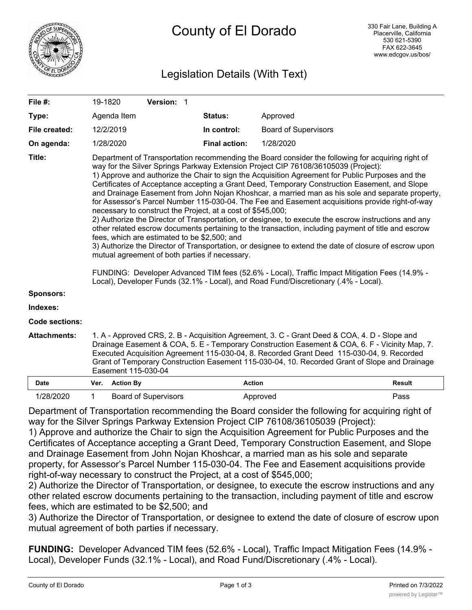

# Legislation Details (With Text)

| File #:             | 19-1820                                                                                                                                                                                                                                                                                                                                                                                                                                                                                                                                                                                                                                                                                                                                                                                                                                                                                                                                                                                                                                                                                                                                                                                                                                                                              |                  | Version: 1                  |  |                      |                             |               |
|---------------------|--------------------------------------------------------------------------------------------------------------------------------------------------------------------------------------------------------------------------------------------------------------------------------------------------------------------------------------------------------------------------------------------------------------------------------------------------------------------------------------------------------------------------------------------------------------------------------------------------------------------------------------------------------------------------------------------------------------------------------------------------------------------------------------------------------------------------------------------------------------------------------------------------------------------------------------------------------------------------------------------------------------------------------------------------------------------------------------------------------------------------------------------------------------------------------------------------------------------------------------------------------------------------------------|------------------|-----------------------------|--|----------------------|-----------------------------|---------------|
| Type:               |                                                                                                                                                                                                                                                                                                                                                                                                                                                                                                                                                                                                                                                                                                                                                                                                                                                                                                                                                                                                                                                                                                                                                                                                                                                                                      | Agenda Item      |                             |  | Status:              | Approved                    |               |
| File created:       |                                                                                                                                                                                                                                                                                                                                                                                                                                                                                                                                                                                                                                                                                                                                                                                                                                                                                                                                                                                                                                                                                                                                                                                                                                                                                      | 12/2/2019        |                             |  | In control:          | <b>Board of Supervisors</b> |               |
| On agenda:          |                                                                                                                                                                                                                                                                                                                                                                                                                                                                                                                                                                                                                                                                                                                                                                                                                                                                                                                                                                                                                                                                                                                                                                                                                                                                                      | 1/28/2020        |                             |  | <b>Final action:</b> | 1/28/2020                   |               |
| Title:              | Department of Transportation recommending the Board consider the following for acquiring right of<br>way for the Silver Springs Parkway Extension Project CIP 76108/36105039 (Project):<br>1) Approve and authorize the Chair to sign the Acquisition Agreement for Public Purposes and the<br>Certificates of Acceptance accepting a Grant Deed, Temporary Construction Easement, and Slope<br>and Drainage Easement from John Nojan Khoshcar, a married man as his sole and separate property,<br>for Assessor's Parcel Number 115-030-04. The Fee and Easement acquisitions provide right-of-way<br>necessary to construct the Project, at a cost of \$545,000;<br>2) Authorize the Director of Transportation, or designee, to execute the escrow instructions and any<br>other related escrow documents pertaining to the transaction, including payment of title and escrow<br>fees, which are estimated to be \$2,500; and<br>3) Authorize the Director of Transportation, or designee to extend the date of closure of escrow upon<br>mutual agreement of both parties if necessary.<br>FUNDING: Developer Advanced TIM fees (52.6% - Local), Traffic Impact Mitigation Fees (14.9% -<br>Local), Developer Funds (32.1% - Local), and Road Fund/Discretionary (.4% - Local). |                  |                             |  |                      |                             |               |
| <b>Sponsors:</b>    |                                                                                                                                                                                                                                                                                                                                                                                                                                                                                                                                                                                                                                                                                                                                                                                                                                                                                                                                                                                                                                                                                                                                                                                                                                                                                      |                  |                             |  |                      |                             |               |
| Indexes:            |                                                                                                                                                                                                                                                                                                                                                                                                                                                                                                                                                                                                                                                                                                                                                                                                                                                                                                                                                                                                                                                                                                                                                                                                                                                                                      |                  |                             |  |                      |                             |               |
| Code sections:      |                                                                                                                                                                                                                                                                                                                                                                                                                                                                                                                                                                                                                                                                                                                                                                                                                                                                                                                                                                                                                                                                                                                                                                                                                                                                                      |                  |                             |  |                      |                             |               |
| <b>Attachments:</b> | 1. A - Approved CRS, 2. B - Acquisition Agreement, 3. C - Grant Deed & COA, 4. D - Slope and<br>Drainage Easement & COA, 5. E - Temporary Construction Easement & COA, 6. F - Vicinity Map, 7.<br>Executed Acquisition Agreement 115-030-04, 8. Recorded Grant Deed 115-030-04, 9. Recorded<br>Grant of Temporary Construction Easement 115-030-04, 10. Recorded Grant of Slope and Drainage<br>Easement 115-030-04                                                                                                                                                                                                                                                                                                                                                                                                                                                                                                                                                                                                                                                                                                                                                                                                                                                                  |                  |                             |  |                      |                             |               |
| <b>Date</b>         | Ver.                                                                                                                                                                                                                                                                                                                                                                                                                                                                                                                                                                                                                                                                                                                                                                                                                                                                                                                                                                                                                                                                                                                                                                                                                                                                                 | <b>Action By</b> |                             |  | <b>Action</b>        |                             | <b>Result</b> |
| 1/28/2020           | 1                                                                                                                                                                                                                                                                                                                                                                                                                                                                                                                                                                                                                                                                                                                                                                                                                                                                                                                                                                                                                                                                                                                                                                                                                                                                                    |                  | <b>Board of Supervisors</b> |  |                      | Approved                    | Pass          |

Department of Transportation recommending the Board consider the following for acquiring right of way for the Silver Springs Parkway Extension Project CIP 76108/36105039 (Project):

1) Approve and authorize the Chair to sign the Acquisition Agreement for Public Purposes and the Certificates of Acceptance accepting a Grant Deed, Temporary Construction Easement, and Slope and Drainage Easement from John Nojan Khoshcar, a married man as his sole and separate property, for Assessor's Parcel Number 115-030-04. The Fee and Easement acquisitions provide right-of-way necessary to construct the Project, at a cost of \$545,000;

2) Authorize the Director of Transportation, or designee, to execute the escrow instructions and any other related escrow documents pertaining to the transaction, including payment of title and escrow fees, which are estimated to be \$2,500; and

3) Authorize the Director of Transportation, or designee to extend the date of closure of escrow upon mutual agreement of both parties if necessary.

**FUNDING:** Developer Advanced TIM fees (52.6% - Local), Traffic Impact Mitigation Fees (14.9% - Local), Developer Funds (32.1% - Local), and Road Fund/Discretionary (.4% - Local).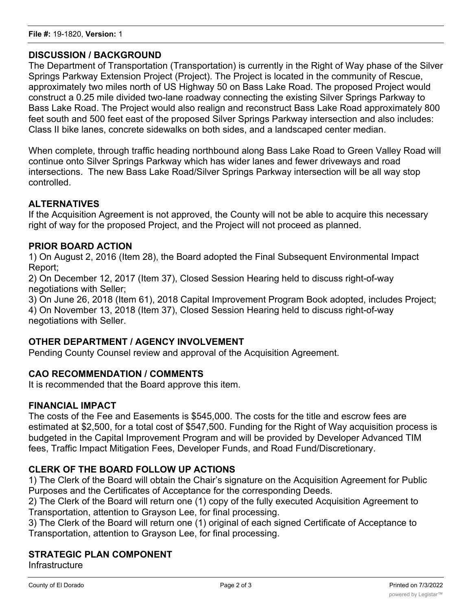#### **DISCUSSION / BACKGROUND**

The Department of Transportation (Transportation) is currently in the Right of Way phase of the Silver Springs Parkway Extension Project (Project). The Project is located in the community of Rescue, approximately two miles north of US Highway 50 on Bass Lake Road. The proposed Project would construct a 0.25 mile divided two-lane roadway connecting the existing Silver Springs Parkway to Bass Lake Road. The Project would also realign and reconstruct Bass Lake Road approximately 800 feet south and 500 feet east of the proposed Silver Springs Parkway intersection and also includes: Class II bike lanes, concrete sidewalks on both sides, and a landscaped center median.

When complete, through traffic heading northbound along Bass Lake Road to Green Valley Road will continue onto Silver Springs Parkway which has wider lanes and fewer driveways and road intersections. The new Bass Lake Road/Silver Springs Parkway intersection will be all way stop controlled.

### **ALTERNATIVES**

If the Acquisition Agreement is not approved, the County will not be able to acquire this necessary right of way for the proposed Project, and the Project will not proceed as planned.

#### **PRIOR BOARD ACTION**

1) On August 2, 2016 (Item 28), the Board adopted the Final Subsequent Environmental Impact Report;

2) On December 12, 2017 (Item 37), Closed Session Hearing held to discuss right-of-way negotiations with Seller;

3) On June 26, 2018 (Item 61), 2018 Capital Improvement Program Book adopted, includes Project; 4) On November 13, 2018 (Item 37), Closed Session Hearing held to discuss right-of-way negotiations with Seller.

#### **OTHER DEPARTMENT / AGENCY INVOLVEMENT**

Pending County Counsel review and approval of the Acquisition Agreement.

#### **CAO RECOMMENDATION / COMMENTS**

It is recommended that the Board approve this item.

#### **FINANCIAL IMPACT**

The costs of the Fee and Easements is \$545,000. The costs for the title and escrow fees are estimated at \$2,500, for a total cost of \$547,500. Funding for the Right of Way acquisition process is budgeted in the Capital Improvement Program and will be provided by Developer Advanced TIM fees, Traffic Impact Mitigation Fees, Developer Funds, and Road Fund/Discretionary.

#### **CLERK OF THE BOARD FOLLOW UP ACTIONS**

1) The Clerk of the Board will obtain the Chair's signature on the Acquisition Agreement for Public Purposes and the Certificates of Acceptance for the corresponding Deeds.

2) The Clerk of the Board will return one (1) copy of the fully executed Acquisition Agreement to Transportation, attention to Grayson Lee, for final processing.

3) The Clerk of the Board will return one (1) original of each signed Certificate of Acceptance to Transportation, attention to Grayson Lee, for final processing.

#### **STRATEGIC PLAN COMPONENT**

Infrastructure